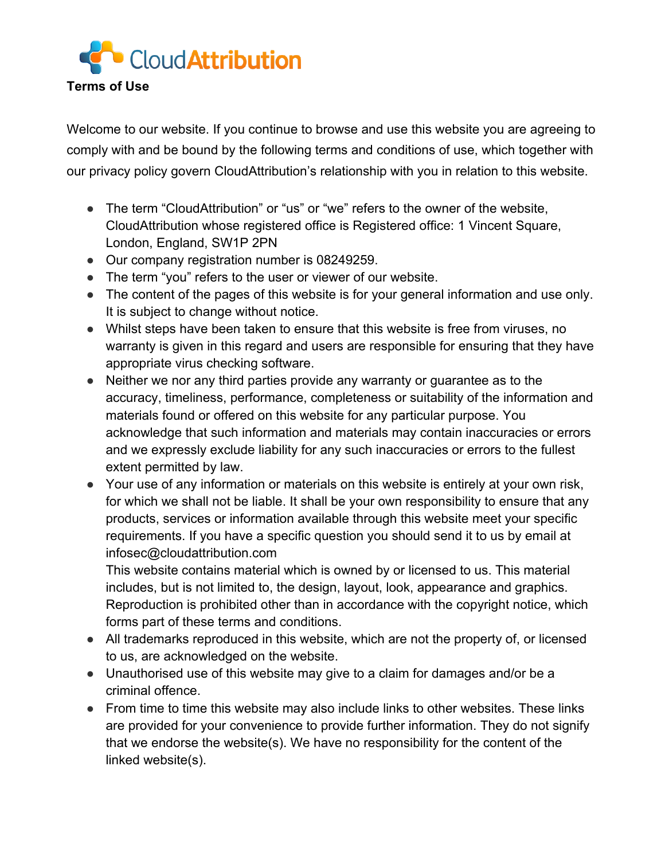

Welcome to our website. If you continue to browse and use this website you are agreeing to comply with and be bound by the following terms and conditions of use, which together with our privacy policy govern CloudAttribution's relationship with you in relation to this website.

- The term "CloudAttribution" or "us" or "we" refers to the owner of the website, CloudAttribution whose registered office is Registered office: 1 Vincent Square, London, England, SW1P 2PN
- Our company registration number is 08249259.
- The term "you" refers to the user or viewer of our website.
- The content of the pages of this website is for your general information and use only. It is subject to change without notice.
- Whilst steps have been taken to ensure that this website is free from viruses, no warranty is given in this regard and users are responsible for ensuring that they have appropriate virus checking software.
- Neither we nor any third parties provide any warranty or guarantee as to the accuracy, timeliness, performance, completeness or suitability of the information and materials found or offered on this website for any particular purpose. You acknowledge that such information and materials may contain inaccuracies or errors and we expressly exclude liability for any such inaccuracies or errors to the fullest extent permitted by law.
- Your use of any information or materials on this website is entirely at your own risk, for which we shall not be liable. It shall be your own responsibility to ensure that any products, services or information available through this website meet your specific requirements. If you have a specific question you should send it to us by email at infosec@cloudattribution.com

This website contains material which is owned by or licensed to us. This material includes, but is not limited to, the design, layout, look, appearance and graphics. Reproduction is prohibited other than in accordance with the copyright notice, which forms part of these terms and conditions.

- All trademarks reproduced in this website, which are not the property of, or licensed to us, are acknowledged on the website.
- Unauthorised use of this website may give to a claim for damages and/or be a criminal offence.
- From time to time this website may also include links to other websites. These links are provided for your convenience to provide further information. They do not signify that we endorse the website(s). We have no responsibility for the content of the linked website(s).